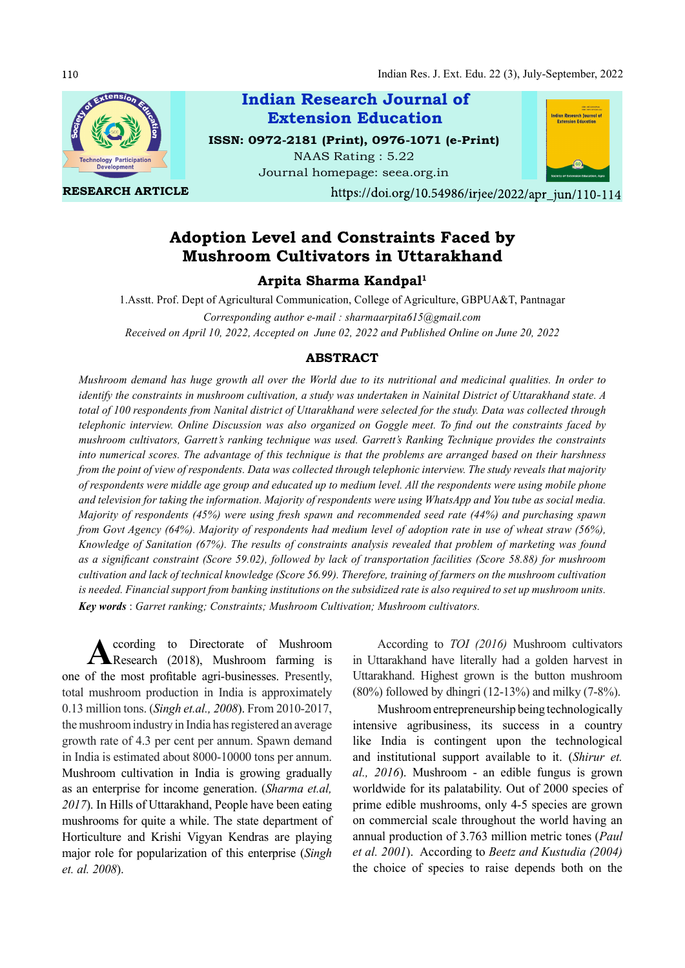

RESEARCH ARTICLE

Indian Research Journal of ISSN: 0972-2181 (Print), 0976-1071 (e-Print) NAAS Rating : 5.22 Extension Education

Journal homepage: seea.org.in



https://doi.org/10.54986/irjee/2022/apr\_jun/110-114

# Adoption Level and Constraints Faced by Mushroom Cultivators in Uttarakhand

Arpita Sharma Kandpal1

1.Asstt. Prof. Dept of Agricultural Communication, College of Agriculture, GBPUA&T, Pantnagar Corresponding author e-mail : sharmaarpita615@gmail.com Received on April 10, 2022, Accepted on June 02, 2022 and Published Online on June 20, 2022

### ABSTRACT

Mushroom demand has huge growth all over the World due to its nutritional and medicinal qualities. In order to identify the constraints in mushroom cultivation, a study was undertaken in Nainital District of Uttarakhand state. A total of 100 respondents from Nanital district of Uttarakhand were selected for the study. Data was collected through telephonic interview. Online Discussion was also organized on Goggle meet. To find out the constraints faced by mushroom cultivators, Garrett's ranking technique was used. Garrett's Ranking Technique provides the constraints into numerical scores. The advantage of this technique is that the problems are arranged based on their harshness from the point of view of respondents. Data was collected through telephonic interview. The study reveals that majority of respondents were middle age group and educated up to medium level. All the respondents were using mobile phone and television for taking the information. Majority of respondents were using WhatsApp and You tube as social media. Majority of respondents (45%) were using fresh spawn and recommended seed rate (44%) and purchasing spawn from Govt Agency (64%). Majority of respondents had medium level of adoption rate in use of wheat straw (56%), Knowledge of Sanitation (67%). The results of constraints analysis revealed that problem of marketing was found as a significant constraint (Score 59.02), followed by lack of transportation facilities (Score 58.88) for mushroom cultivation and lack of technical knowledge (Score 56.99). Therefore, training of farmers on the mushroom cultivation is needed. Financial support from banking institutions on the subsidized rate is also required to set up mushroom units. Key words : Garret ranking; Constraints; Mushroom Cultivation; Mushroom cultivators.

A ccording to Directorate of Mushroom According<br>Research (2018), Mushroom farming is in Uttarakhand ccording to Directorate of Mushroom one of the most profitable agri-businesses. Presently, total mushroom production in India is approximately 0.13 million tons. (Singh et.al., 2008). From 2010-2017, the mushroom industry in India has registered an average growth rate of 4.3 per cent per annum. Spawn demand in India is estimated about 8000-10000 tons per annum. Mushroom cultivation in India is growing gradually as an enterprise for income generation. (Sharma et.al, 2017). In Hills of Uttarakhand, People have been eating mushrooms for quite a while. The state department of Horticulture and Krishi Vigyan Kendras are playing major role for popularization of this enterprise (Singh et. al. 2008).

According to TOI (2016) Mushroom cultivators in Uttarakhand have literally had a golden harvest in Uttarakhand. Highest grown is the button mushroom (80%) followed by dhingri  $(12-13%)$  and milky  $(7-8%)$ .

Mushroom entrepreneurship being technologically intensive agribusiness, its success in a country like India is contingent upon the technological and institutional support available to it. (Shirur et. al., 2016). Mushroom - an edible fungus is grown worldwide for its palatability. Out of 2000 species of prime edible mushrooms, only 4-5 species are grown on commercial scale throughout the world having an annual production of 3.763 million metric tones (Paul et al. 2001). According to Beetz and Kustudia (2004) the choice of species to raise depends both on the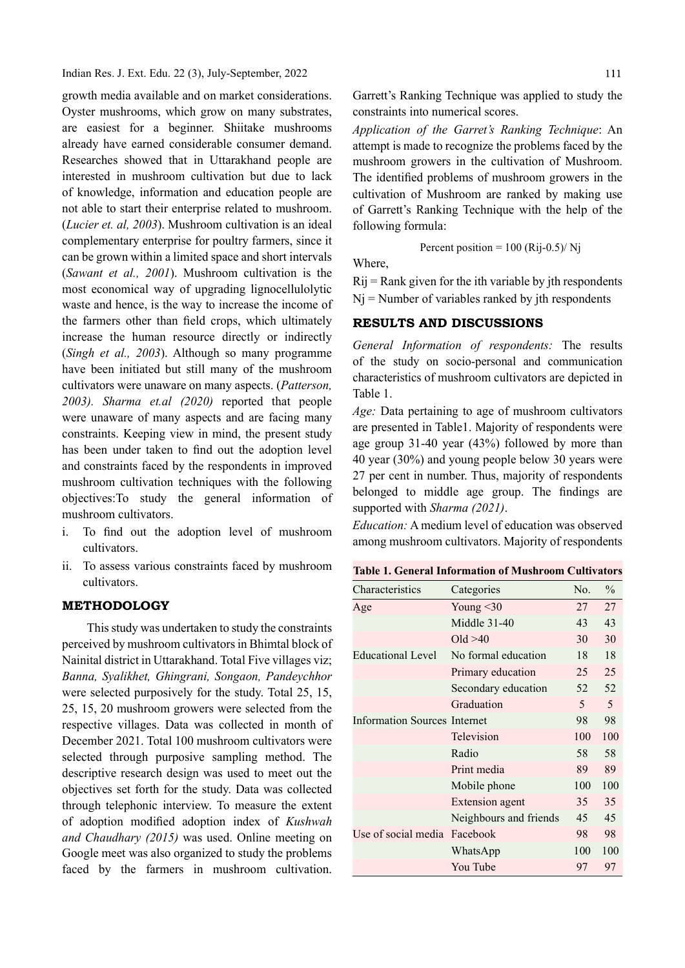Indian Res. J. Ext. Edu. 22 (3), July-September, 2022

growth media available and on market considerations. Oyster mushrooms, which grow on many substrates, are easiest for a beginner. Shiitake mushrooms already have earned considerable consumer demand. Researches showed that in Uttarakhand people are interested in mushroom cultivation but due to lack of knowledge, information and education people are not able to start their enterprise related to mushroom. (Lucier et. al, 2003). Mushroom cultivation is an ideal complementary enterprise for poultry farmers, since it can be grown within a limited space and short intervals (Sawant et al., 2001). Mushroom cultivation is the most economical way of upgrading lignocellulolytic waste and hence, is the way to increase the income of the farmers other than field crops, which ultimately increase the human resource directly or indirectly (Singh et al., 2003). Although so many programme have been initiated but still many of the mushroom cultivators were unaware on many aspects. (Patterson, 2003). Sharma et.al (2020) reported that people were unaware of many aspects and are facing many constraints. Keeping view in mind, the present study has been under taken to find out the adoption level and constraints faced by the respondents in improved mushroom cultivation techniques with the following objectives:To study the general information of mushroom cultivators.

- i. To find out the adoption level of mushroom cultivators.
- ii. To assess various constraints faced by mushroom cultivators.

### METHODOLOGY

This study was undertaken to study the constraints perceived by mushroom cultivators in Bhimtal block of Nainital district in Uttarakhand. Total Five villages viz; Banna, Syalikhet, Ghingrani, Songaon, Pandeychhor were selected purposively for the study. Total 25, 15, 25, 15, 20 mushroom growers were selected from the respective villages. Data was collected in month of December 2021. Total 100 mushroom cultivators were selected through purposive sampling method. The descriptive research design was used to meet out the objectives set forth for the study. Data was collected through telephonic interview. To measure the extent of adoption modified adoption index of Kushwah and Chaudhary (2015) was used. Online meeting on Google meet was also organized to study the problems faced by the farmers in mushroom cultivation.

Garrett's Ranking Technique was applied to study the constraints into numerical scores.

Application of the Garret's Ranking Technique: An attempt is made to recognize the problems faced by the mushroom growers in the cultivation of Mushroom. The identified problems of mushroom growers in the cultivation of Mushroom are ranked by making use of Garrett's Ranking Technique with the help of the following formula:

Percent position = 
$$
100 \text{ (Rij-0.5) / Nj}
$$

Where,

 $Rij = Rank$  given for the ith variable by jth respondents  $N<sub>i</sub>$  = Number of variables ranked by jth respondents

# RESULTS AND DISCUSSIONS

General Information of respondents: The results of the study on socio-personal and communication characteristics of mushroom cultivators are depicted in Table 1.

Age: Data pertaining to age of mushroom cultivators are presented in Table1. Majority of respondents were age group 31-40 year (43%) followed by more than 40 year (30%) and young people below 30 years were 27 per cent in number. Thus, majority of respondents belonged to middle age group. The findings are supported with Sharma (2021).

Education: A medium level of education was observed among mushroom cultivators. Majority of respondents

Table 1. General Information of Mushroom Cultivators

| Characteristics                     | Categories             | No. | $\frac{0}{0}$ |
|-------------------------------------|------------------------|-----|---------------|
| Age                                 | Young $<$ 30           | 27  | 27            |
|                                     | Middle 31-40           | 43  | 43            |
|                                     | Old > 40               | 30  | 30            |
| <b>Educational Level</b>            | No formal education    | 18  | 18            |
|                                     | Primary education      | 25  | 25            |
|                                     | Secondary education    | 52  | 52            |
|                                     | Graduation             | 5   | 5             |
| <b>Information Sources Internet</b> |                        | 98  | 98            |
|                                     | Television             | 100 | 100           |
|                                     | Radio                  | 58  | 58            |
|                                     | Print media            | 89  | 89            |
|                                     | Mobile phone           | 100 | 100           |
|                                     | Extension agent        | 35  | 35            |
|                                     | Neighbours and friends | 45  | 45            |
| Use of social media                 | Facebook               | 98  | 98            |
|                                     | WhatsApp               | 100 | 100           |
|                                     | You Tube               | 97  | 97            |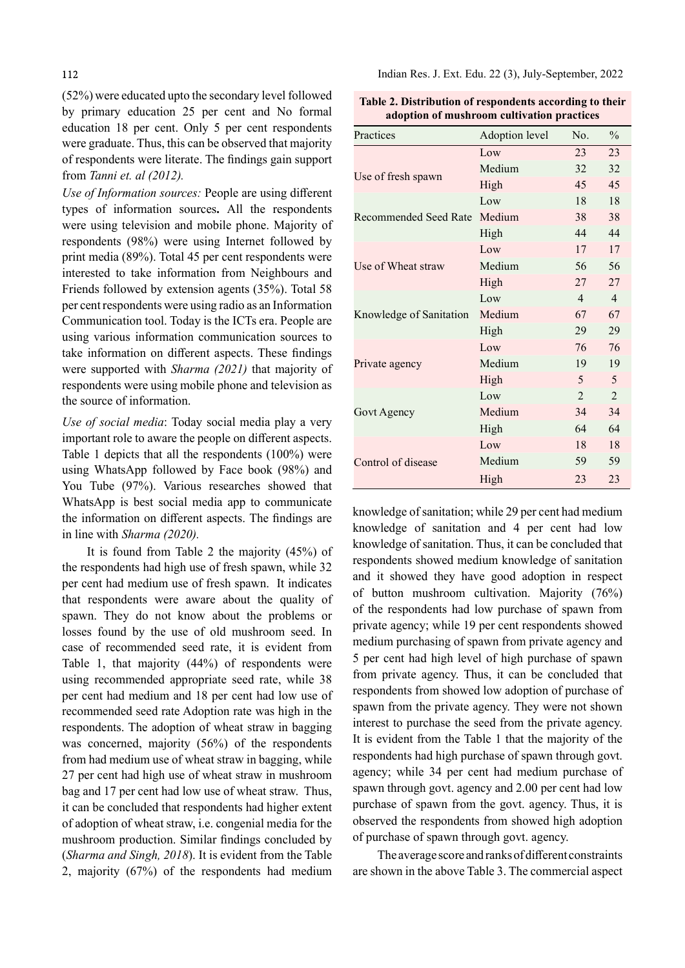(52%) were educated upto the secondary level followed by primary education 25 per cent and No formal education 18 per cent. Only 5 per cent respondents were graduate. Thus, this can be observed that majority of respondents were literate. The findings gain support from Tanni et. al (2012).

Use of Information sources: People are using different types of information sources. All the respondents were using television and mobile phone. Majority of respondents (98%) were using Internet followed by print media (89%). Total 45 per cent respondents were interested to take information from Neighbours and Friends followed by extension agents (35%). Total 58 per cent respondents were using radio as an Information Communication tool. Today is the ICTs era. People are using various information communication sources to take information on different aspects. These findings were supported with Sharma (2021) that majority of respondents were using mobile phone and television as the source of information.

Use of social media: Today social media play a very important role to aware the people on different aspects. Table 1 depicts that all the respondents (100%) were using WhatsApp followed by Face book (98%) and You Tube (97%). Various researches showed that WhatsApp is best social media app to communicate the information on different aspects. The findings are in line with Sharma (2020).

It is found from Table 2 the majority (45%) of the respondents had high use of fresh spawn, while 32 per cent had medium use of fresh spawn. It indicates that respondents were aware about the quality of spawn. They do not know about the problems or losses found by the use of old mushroom seed. In case of recommended seed rate, it is evident from Table 1, that majority (44%) of respondents were using recommended appropriate seed rate, while 38 per cent had medium and 18 per cent had low use of recommended seed rate Adoption rate was high in the respondents. The adoption of wheat straw in bagging was concerned, majority (56%) of the respondents from had medium use of wheat straw in bagging, while 27 per cent had high use of wheat straw in mushroom bag and 17 per cent had low use of wheat straw. Thus, it can be concluded that respondents had higher extent of adoption of wheat straw, i.e. congenial media for the mushroom production. Similar findings concluded by (Sharma and Singh, 2018). It is evident from the Table 2, majority (67%) of the respondents had medium

Indian Res. J. Ext. Edu. 22 (3), July-September, 2022

Table 2. Distribution of respondents according to their adoption of mushroom cultivation practices

| Practices               | Adoption level | No.            | $\frac{0}{0}$  |
|-------------------------|----------------|----------------|----------------|
| Use of fresh spawn      | Low            | 23             | 23             |
|                         | Medium         | 32             | 32             |
|                         | High           | 45             | 45             |
| Recommended Seed Rate   | Low            | 18             | 18             |
|                         | Medium         | 38             | 38             |
|                         | High           | 44             | 44             |
| Use of Wheat straw      | Low            | 17             | 17             |
|                         | Medium         | 56             | 56             |
|                         | High           | 27             | 27             |
| Knowledge of Sanitation | Low            | $\overline{4}$ | $\overline{4}$ |
|                         | Medium         | 67             | 67             |
|                         | High           | 29             | 29             |
| Private agency          | Low            | 76             | 76             |
|                         | Medium         | 19             | 19             |
|                         | High           | 5              | 5              |
| Govt Agency             | Low            | $\mathfrak{D}$ | $\overline{2}$ |
|                         | Medium         | 34             | 34             |
|                         | High           | 64             | 64             |
|                         | Low            | 18             | 18             |
| Control of disease      | Medium         | 59             | 59             |
|                         | High           | 23             | 23             |

knowledge of sanitation; while 29 per cent had medium knowledge of sanitation and 4 per cent had low knowledge of sanitation. Thus, it can be concluded that respondents showed medium knowledge of sanitation and it showed they have good adoption in respect of button mushroom cultivation. Majority (76%) of the respondents had low purchase of spawn from private agency; while 19 per cent respondents showed medium purchasing of spawn from private agency and 5 per cent had high level of high purchase of spawn from private agency. Thus, it can be concluded that respondents from showed low adoption of purchase of spawn from the private agency. They were not shown interest to purchase the seed from the private agency. It is evident from the Table 1 that the majority of the respondents had high purchase of spawn through govt. agency; while 34 per cent had medium purchase of spawn through govt. agency and 2.00 per cent had low purchase of spawn from the govt. agency. Thus, it is observed the respondents from showed high adoption of purchase of spawn through govt. agency.

The average score and ranks of different constraints are shown in the above Table 3. The commercial aspect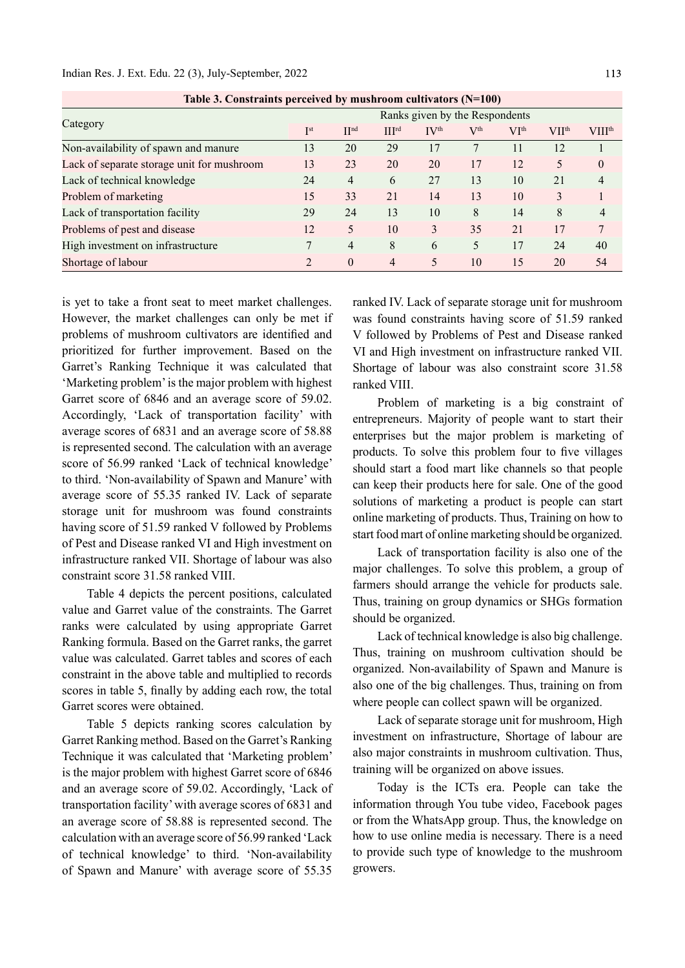| Table 5. Constraints perceived by musicioum cultivators (18–100) |                                |                  |                   |                           |              |                  |              |                          |  |  |
|------------------------------------------------------------------|--------------------------------|------------------|-------------------|---------------------------|--------------|------------------|--------------|--------------------------|--|--|
| Category                                                         | Ranks given by the Respondents |                  |                   |                           |              |                  |              |                          |  |  |
|                                                                  | I <sup>st</sup>                | II <sub>nd</sub> | III <sup>rd</sup> | $\mathbf{IV}^{\text{th}}$ | $\rm V^{th}$ | VI <sup>th</sup> | <b>VIIth</b> | <b>VIII<sup>th</sup></b> |  |  |
| Non-availability of spawn and manure                             | 13                             | 20               | 29                | 17                        |              |                  | 12           |                          |  |  |
| Lack of separate storage unit for mushroom                       | 13                             | 23               | 20                | 20                        | 17           | 12               | 5            | $\theta$                 |  |  |
| Lack of technical knowledge                                      | 24                             | $\overline{4}$   | 6                 | 27                        | 13           | 10               | 21           | $\overline{4}$           |  |  |
| Problem of marketing                                             | 15                             | 33               | 21                | 14                        | 13           | 10               | 3            |                          |  |  |
| Lack of transportation facility                                  | 29                             | 24               | 13                | 10                        | 8            | 14               | 8            | 4                        |  |  |
| Problems of pest and disease                                     | 12                             | 5                | 10                | 3                         | 35           | 21               | 17           | 7                        |  |  |
| High investment on infrastructure                                |                                | 4                | 8                 | 6                         |              | 17               | 24           | 40                       |  |  |
| Shortage of labour                                               |                                | $\theta$         | $\overline{4}$    | 5                         | 10           | 15               | 20           | 54                       |  |  |

Table 3. Constraints perceived by mushroom cultivators (N=100)

is yet to take a front seat to meet market challenges. However, the market challenges can only be met if problems of mushroom cultivators are identified and prioritized for further improvement. Based on the Garret's Ranking Technique it was calculated that 'Marketing problem' is the major problem with highest Garret score of 6846 and an average score of 59.02. Accordingly, 'Lack of transportation facility' with average scores of 6831 and an average score of 58.88 is represented second. The calculation with an average score of 56.99 ranked 'Lack of technical knowledge' to third. 'Non-availability of Spawn and Manure' with average score of 55.35 ranked IV. Lack of separate storage unit for mushroom was found constraints having score of 51.59 ranked V followed by Problems of Pest and Disease ranked VI and High investment on infrastructure ranked VII. Shortage of labour was also constraint score 31.58 ranked VIII.

Table 4 depicts the percent positions, calculated value and Garret value of the constraints. The Garret ranks were calculated by using appropriate Garret Ranking formula. Based on the Garret ranks, the garret value was calculated. Garret tables and scores of each constraint in the above table and multiplied to records scores in table 5, finally by adding each row, the total Garret scores were obtained.

Table 5 depicts ranking scores calculation by Garret Ranking method. Based on the Garret's Ranking Technique it was calculated that 'Marketing problem' is the major problem with highest Garret score of 6846 and an average score of 59.02. Accordingly, 'Lack of transportation facility' with average scores of 6831 and an average score of 58.88 is represented second. The calculation with an average score of 56.99 ranked 'Lack of technical knowledge' to third. 'Non-availability of Spawn and Manure' with average score of 55.35

ranked IV. Lack of separate storage unit for mushroom was found constraints having score of 51.59 ranked V followed by Problems of Pest and Disease ranked VI and High investment on infrastructure ranked VII. Shortage of labour was also constraint score 31.58 ranked VIII.

Problem of marketing is a big constraint of entrepreneurs. Majority of people want to start their enterprises but the major problem is marketing of products. To solve this problem four to five villages should start a food mart like channels so that people can keep their products here for sale. One of the good solutions of marketing a product is people can start online marketing of products. Thus, Training on how to start food mart of online marketing should be organized.

Lack of transportation facility is also one of the major challenges. To solve this problem, a group of farmers should arrange the vehicle for products sale. Thus, training on group dynamics or SHGs formation should be organized.

Lack of technical knowledge is also big challenge. Thus, training on mushroom cultivation should be organized. Non-availability of Spawn and Manure is also one of the big challenges. Thus, training on from where people can collect spawn will be organized.

Lack of separate storage unit for mushroom, High investment on infrastructure, Shortage of labour are also major constraints in mushroom cultivation. Thus, training will be organized on above issues.

Today is the ICTs era. People can take the information through You tube video, Facebook pages or from the WhatsApp group. Thus, the knowledge on how to use online media is necessary. There is a need to provide such type of knowledge to the mushroom growers.